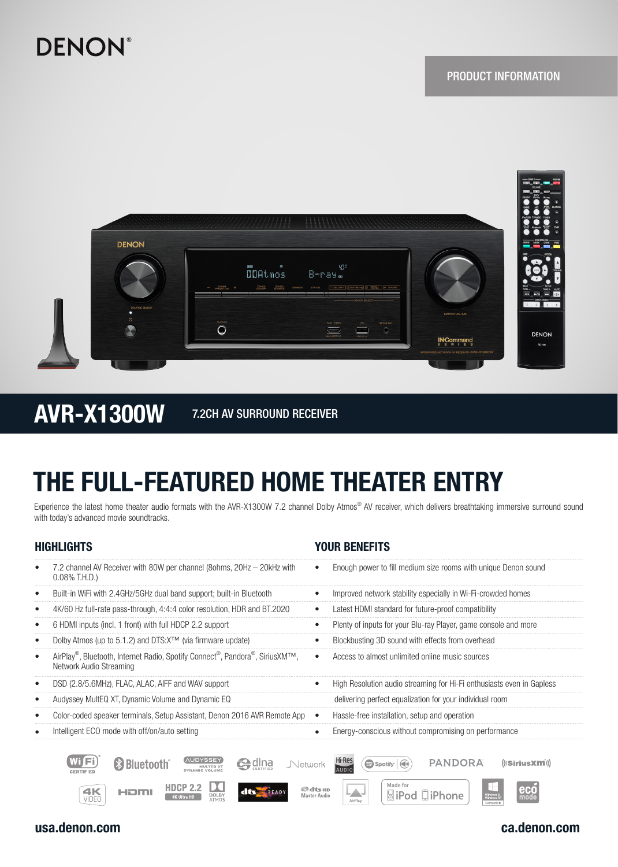## **DENON**



AVR-X1300W 7.2CH AV SURROUND RECEIVER

# THE FULL-FEATURED HOME THEATER ENTRY

Experience the latest home theater audio formats with the AVR-X1300W 7.2 channel Dolby Atmos® AV receiver, which delivers breathtaking immersive surround sound with today's advanced movie soundtracks.

#### HIGHLIGHTS YOUR BENEFITS • 7.2 channel AV Receiver with 80W per channel (8ohms, 20Hz – 20kHz with • Enough power to fill medium size rooms with unique Denon sound 0.08% T.H.D.) • Built-in WiFi with 2.4GHz/5GHz dual band support; built-in Bluetooth • Improved network stability especially in Wi-Fi-crowded homes • 4K/60 Hz full-rate pass-through, 4:4:4 color resolution, HDR and BT.2020 • Latest HDMI standard for future-proof compatibility • 6 HDMI inputs (incl. 1 front) with full HDCP 2.2 support • Plenty of inputs for your Blu-ray Player, game console and more • Dolby Atmos (up to 5.1.2) and DTS:X™ (via firmware update) • Blockbusting 3D sound with effects from overhead • AirPlay®, Bluetooth, Internet Radio, Spotify Connect®, Pandora®, SiriusXM™, • Access to almost unlimited online music sources Network Audio Streaming • DSD (2.8/5.6MHz), FLAC, ALAC, AIFF and WAV support • High Resolution audio streaming for Hi-Fi enthusiasts even in Gapless Audyssey MultEQ XT, Dynamic Volume and Dynamic EQ delivering perfect equalization for your individual room • Color-coded speaker terminals, Setup Assistant, Denon 2016 AVR Remote App • Hassle-free installation, setup and operation Intelligent ECO mode with off/on/auto setting entity and the state of the energy-conscious without compromising on performance **AUDYSSEY** (Wi Fi) **e**dina **PANDORA**  $(\langle$ (siriusXM)) **8 Bluetooth** Network Spotify (1) Made for **HDCP 2.2**  $\frac{1}{\text{DOLB}}$ **dts-HD**<br>Master Audio eco  $4<sub>K</sub>$ HOMI **BiPod 口iPhone** 4K Ultra HD VIDEO

### usa.denon.com ca.denon.com